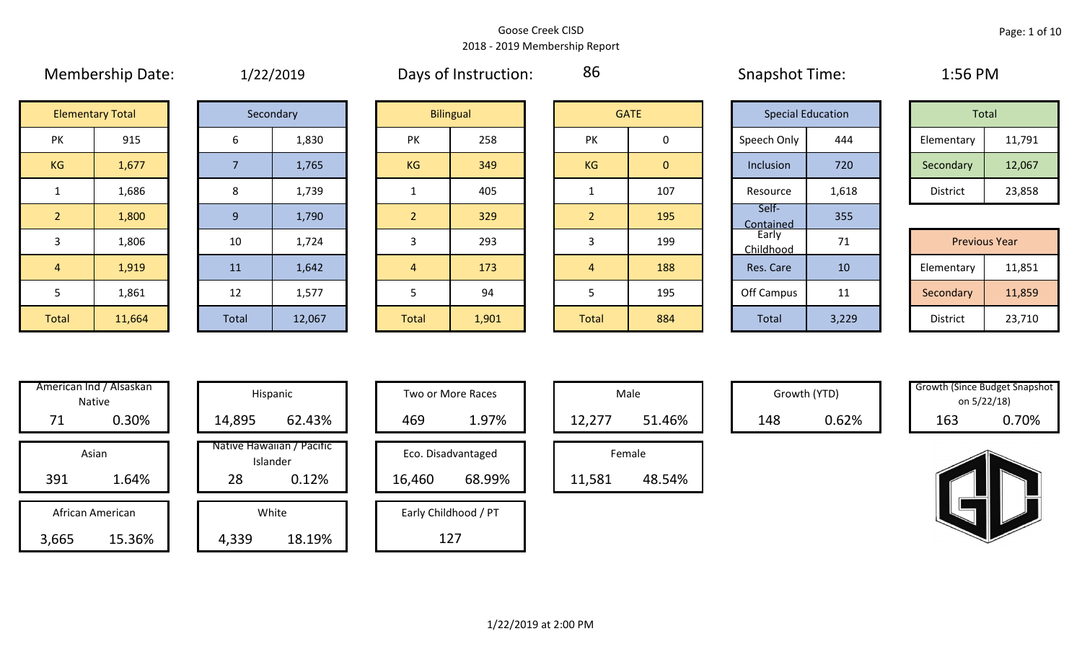86

# Membership Date:  $1/22/2019$  Days of Instruction: 86 Snapshot Time: 1:56 PM **Elementary Total**

|       | Secondary |
|-------|-----------|
| 6     | 1,830     |
| 7     | 1,765     |
| 8     | 1,739     |
| 9     | 1,790     |
| 10    | 1,724     |
| 11    | 1,642     |
| 12    | 1,577     |
| Total | 12,067    |

| <b>Elementary Total</b> |        |       | Secondary |                | <b>Bilingual</b> |  |                | <b>GATE</b>  |  | <b>Special Education</b> |       | Total                |        |  |
|-------------------------|--------|-------|-----------|----------------|------------------|--|----------------|--------------|--|--------------------------|-------|----------------------|--------|--|
| <b>PK</b>               | 915    | 6     | 1,830     | <b>PK</b>      | 258              |  | <b>PK</b>      | $\mathbf 0$  |  | Speech Only              | 444   | Elementary           | 11,791 |  |
| KG                      | 1,677  |       | 1,765     | KG             | 349              |  | KG             | $\mathbf{0}$ |  | Inclusion                | 720   | Secondary            | 12,067 |  |
|                         | 1,686  | 8     | 1,739     |                | 405              |  |                | 107          |  | Resource                 | 1,618 | District             | 23,858 |  |
| $\overline{2}$          | 1,800  | 9     | 1,790     | $\overline{2}$ | 329              |  | $\overline{2}$ | 195          |  | Self-<br>Contained       | 355   |                      |        |  |
| 3                       | 1,806  | 10    | 1,724     | 3              | 293              |  | 3              | 199          |  | Early<br>Childhood       | 71    | <b>Previous Year</b> |        |  |
| $\overline{4}$          | 1,919  | 11    | 1,642     | $\overline{4}$ | 173              |  | 4              | 188          |  | Res. Care                | 10    | Elementary           | 11,851 |  |
| 5                       | 1,861  | 12    | 1,577     |                | 94               |  |                | 195          |  | Off Campus               | 11    | Secondary            | 11,859 |  |
| Total                   | 11,664 | Total | 12,067    | Total          | 1,901            |  | <b>Total</b>   | 884          |  | Total                    | 3,229 | District             | 23,710 |  |

|                | <b>GATE</b>    |
|----------------|----------------|
| PK             | 0              |
| KG             | $\overline{0}$ |
| 1              | 107            |
| $\overline{2}$ | 195            |
| 3              | 199            |
| $\overline{4}$ | 188            |
| 5              | 195            |
| <b>Total</b>   | 884            |

| <b>Special Education</b> |       |  | <b>Total</b>                                |        |  |  |  |  |  |
|--------------------------|-------|--|---------------------------------------------|--------|--|--|--|--|--|
| Speech Only              | 444   |  | 11,791<br>Elementary<br>Secondary<br>12,067 |        |  |  |  |  |  |
| Inclusion                | 720   |  |                                             |        |  |  |  |  |  |
| Resource                 | 1,618 |  | <b>District</b>                             | 23,858 |  |  |  |  |  |
| Self-<br>Contained       | 355   |  |                                             |        |  |  |  |  |  |
| Early<br>Childhood       | 71    |  | <b>Previous Year</b>                        |        |  |  |  |  |  |
| Res. Care                | 10    |  | Elementary                                  | 11,851 |  |  |  |  |  |
| Off Campus               | 11    |  | Secondary                                   | 11,859 |  |  |  |  |  |
| <b>Total</b>             | 3,229 |  | <b>District</b>                             | 23,710 |  |  |  |  |  |

| Total      |        |  |  |  |  |  |  |  |  |  |
|------------|--------|--|--|--|--|--|--|--|--|--|
| Elementary | 11,791 |  |  |  |  |  |  |  |  |  |
| Secondary  | 12,067 |  |  |  |  |  |  |  |  |  |
| District   | 23,858 |  |  |  |  |  |  |  |  |  |

|                 | <b>Previous Year</b> |  |  |  |  |  |  |  |  |  |  |
|-----------------|----------------------|--|--|--|--|--|--|--|--|--|--|
| Elementary      | 11,851               |  |  |  |  |  |  |  |  |  |  |
| Secondary       | 11,859               |  |  |  |  |  |  |  |  |  |  |
| <b>District</b> | 23,710               |  |  |  |  |  |  |  |  |  |  |

|       | American Ind / Alsaskan<br><b>Native</b> |                  | Hispanic                              |  |  |  |  |  |  |
|-------|------------------------------------------|------------------|---------------------------------------|--|--|--|--|--|--|
| 71    | 0.30%                                    | 14,895<br>62.43% |                                       |  |  |  |  |  |  |
|       | Asian                                    |                  | Native Hawaiian / Pacific<br>Islander |  |  |  |  |  |  |
| 391   | 1.64%                                    | 28<br>0.12%      |                                       |  |  |  |  |  |  |
|       |                                          |                  |                                       |  |  |  |  |  |  |
|       | African American                         |                  | White                                 |  |  |  |  |  |  |
| 3,665 | 15.36%                                   | 4,339<br>18.19%  |                                       |  |  |  |  |  |  |

| merican Ind / Alsaskan<br>Native |        |  |        | Hispanic                              | Two or More Races |                      |  | Male   |        |  |     | Growth (YTD) | <b>Growth (Since Budget Snaps)</b> | on 5/22/18) |
|----------------------------------|--------|--|--------|---------------------------------------|-------------------|----------------------|--|--------|--------|--|-----|--------------|------------------------------------|-------------|
| 71                               | 0.30%  |  | 14,895 | 62.43%                                | 469               | 1.97%                |  | 12,277 | 51.46% |  | 148 | 0.62%        | 163                                | 0.70%       |
| Asian                            |        |  |        | Native Hawaiian / Pacific<br>Islander |                   | Eco. Disadvantaged   |  | Female |        |  |     |              |                                    |             |
| 391                              | 1.64%  |  | 28     | 0.12%                                 | 16,460            | 68.99%               |  | 11,581 | 48.54% |  |     |              |                                    |             |
| African American                 |        |  |        | White                                 |                   | Early Childhood / PT |  |        |        |  |     |              |                                    |             |
| ,665                             | 15.36% |  | 4,339  | 18.19%                                |                   | 127                  |  |        |        |  |     |              |                                    |             |

| <b>Hispanic</b>                |        | Two or More Races    |        | Male   |
|--------------------------------|--------|----------------------|--------|--------|
| 62.43%                         | 469    | 1.97%                | 12,277 |        |
| lawaiian / Pacific<br>Islander |        | Eco. Disadvantaged   |        | Female |
| 0.12%                          | 16,460 | 68.99%               | 11,581 |        |
| White                          |        | Early Childhood / PT |        |        |
| 18.19%                         |        | 127                  |        |        |

| Male   |        |  |  |  |  |  |  |  |  |  |
|--------|--------|--|--|--|--|--|--|--|--|--|
| 12,277 | 51.46% |  |  |  |  |  |  |  |  |  |
|        | Female |  |  |  |  |  |  |  |  |  |
|        | 54%    |  |  |  |  |  |  |  |  |  |

| Growth (Since Budget Snapshot |       |  |  |  |  |  |  |  |  |
|-------------------------------|-------|--|--|--|--|--|--|--|--|
| on 5/22/18)                   |       |  |  |  |  |  |  |  |  |
| 163                           | 0.70% |  |  |  |  |  |  |  |  |

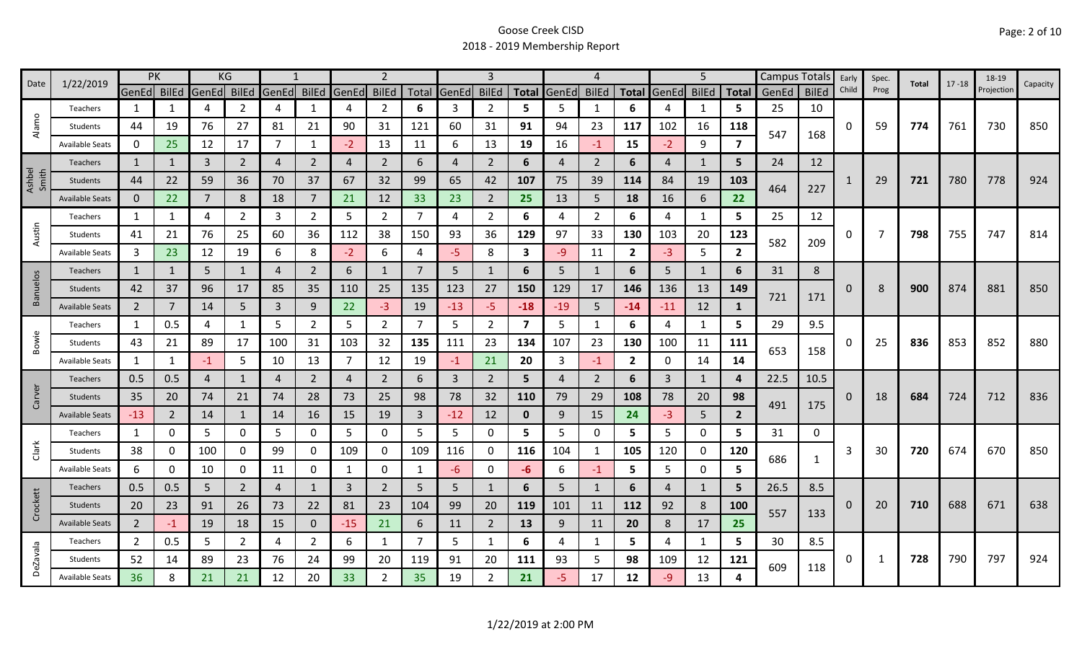| 1/22/2019<br>Date |                        | PK             |              |                | KG             |                |                |       | 2              |       |                | 3              |                |                | 4              |                |                | 5              |                |            | Campus Totals Early |          | Spec. | Total | $17 - 18$ | 18-19      | Capacity |
|-------------------|------------------------|----------------|--------------|----------------|----------------|----------------|----------------|-------|----------------|-------|----------------|----------------|----------------|----------------|----------------|----------------|----------------|----------------|----------------|------------|---------------------|----------|-------|-------|-----------|------------|----------|
|                   |                        | GenEd BilEd    |              | GenEd          | <b>BilEd</b>   | <b>GenEd</b>   | <b>BilEd</b>   | GenEd | <b>BilEd</b>   | Total | GenEd          | <b>BilEd</b>   | <b>Total</b>   | GenEd          | <b>BilEd</b>   | <b>Total</b>   | GenEd          | <b>BilEd</b>   | <b>Total</b>   | GenEd      | <b>BilEd</b>        | Child    | Prog  |       |           | Projection |          |
|                   | Teachers               | 1              | 1            | 4              | $\overline{2}$ | $\overline{A}$ | 1              | 4     | $\overline{2}$ | 6     | 3              | $\overline{2}$ | 5              | 5              | $\mathbf{1}$   | 6              | 4              | 1              | 5              | 25         | 10                  |          |       |       |           |            |          |
| Alamo             | Students               | 44             | 19           | 76             | 27             | 81             | 21             | 90    | 31             | 121   | 60             | 31             | 91             | 94             | 23             | 117            | 102            | 16             | 118            | 547        | 168                 | 0        | 59    | 774   | 761       | 730        | 850      |
|                   | Available Seats        | 0              | 25           | 12             | 17             | 7              | 1              | $-2$  | 13             | 11    | 6              | 13             | 19             | 16             | $-1$           | 15             | $-2$           | 9              | 7              |            |                     |          |       |       |           |            |          |
|                   | Teachers               | $\mathbf{1}$   | 1            | 3              | $\overline{2}$ | $\overline{4}$ | $\overline{2}$ | 4     | $\overline{2}$ | 6     | $\overline{4}$ | $\overline{2}$ | 6              | $\overline{4}$ | $\overline{2}$ | 6              | 4              | $\mathbf{1}$   | 5              | 24         | 12                  |          |       |       |           |            |          |
| Ashbel<br>Smith   | Students               | 44             | 22           | 59             | 36             | 70             | 37             | 67    | 32             | 99    | 65             | 42             | 107            | 75             | 39             | 114            | 84             | 19             | 103            | 464        | 227                 |          | 29    | 721   | 780       | 778        | 924      |
|                   | <b>Available Seats</b> | $\mathbf{0}$   | 22           | $\overline{7}$ | 8              | 18             | $\overline{7}$ | 21    | 12             | 33    | 23             | $\overline{2}$ | 25             | 13             | 5              | 18             | 16             | 6              | 22             |            |                     |          |       |       |           |            |          |
|                   | Teachers               | 1              | 1            | 4              | 2              | 3              | $\overline{2}$ | 5     | $\overline{2}$ | 7     | 4              | $\overline{2}$ | 6              | 4              | $\overline{2}$ | 6              | 4              | 1              | 5.             | 25         | 12                  |          |       |       |           |            |          |
| Austin            | Students               | 41             | 21           | 76             | 25             | 60             | 36             | 112   | 38             | 150   | 93             | 36             | 129            | 97             | 33             | 130            | 103            | 20             | 123            | 582        | 209                 | 0        | 7     | 798   | 755       | 747        | 814      |
|                   | <b>Available Seats</b> | 3              | 23           | 12             | 19             | 6              | 8              | $-2$  | 6              | 4     | $-5$           | 8              | 3              | $-9$           | 11             | $\overline{2}$ | $-3$           | 5              | $\mathbf{2}$   |            |                     |          |       |       |           |            |          |
|                   | Teachers               | $\mathbf{1}$   | $\mathbf{1}$ | 5              | $\mathbf{1}$   | $\overline{4}$ | $\overline{2}$ | 6     | $\mathbf{1}$   | 7     | 5              |                | 6              | 5 <sup>1</sup> | $\mathbf{1}$   | 6              | 5              | $\mathbf{1}$   | 6              | 31         | 8                   |          |       |       |           |            |          |
| <b>Banuelos</b>   | Students               | 42             | 37           | 96             | 17             | 85             | 35             | 110   | 25             | 135   | 123            | 27             | 150            | 129            | 17             | 146            | 136            | 13             | 149            |            |                     | 0        | 8     | 900   | 874       | 881        | 850      |
|                   | <b>Available Seats</b> | $\overline{2}$ |              | 14             | 5              | 3              | 9              | 22    | $-3$           | 19    | $-13$          | -5.            | $-18$          | $-19$          | 5              | $-14$          | $-11$          | 12             | 1              | 721        | 171                 |          |       |       |           |            |          |
|                   | Teachers               | 1              | 0.5          | 4              | $\mathbf{1}$   | 5              | $\overline{2}$ | 5     | $\overline{2}$ | 7     | 5              | $\overline{2}$ | $\overline{7}$ | 5              | -1             | 6              | 4              | 1              | 5.             | 29         | 9.5                 |          |       |       | 853       | 852        | 880      |
| Bowie             | Students               | 43             | 21           | 89             | 17             | 100            | 31             | 103   | 32             | 135   | 111            | 23             | 134            | 107            | 23             | 130            | 100            | 11             | 111            | 653<br>158 |                     | 0        | 25    | 836   |           |            |          |
|                   | <b>Available Seats</b> | 1              | $\mathbf{1}$ | $-1$           | 5              | 10             | 13             | 7     | 12             | 19    | $-1$           | 21             | 20             | 3              | $-1$           | $\overline{2}$ | $\mathbf 0$    | 14             | 14             |            |                     |          |       |       |           |            |          |
|                   | <b>Teachers</b>        | 0.5            | 0.5          | 4              | $\mathbf{1}$   | $\overline{4}$ | $\overline{2}$ | 4     | $\overline{2}$ | 6     | 3              | $\overline{2}$ | 5              | 4              | $\overline{2}$ | 6              | 3              | $\mathbf{1}$   | 4              | 22.5       | 10.5                |          |       |       | 724       | 712        | 836      |
| Carver            | Students               | 35             | 20           | 74             | 21             | 74             | 28             | 73    | 25             | 98    | 78             | 32             | 110            | 79             | 29             | 108            | 78             | 20             | 98             |            |                     | $\Omega$ | 18    | 684   |           |            |          |
|                   | <b>Available Seats</b> | $-13$          | 2            | 14             | $\mathbf{1}$   | 14             | 16             | 15    | 19             | 3     | $-12$          | 12             | $\mathbf 0$    | 9              | 15             | 24             | $-3$           | 5 <sup>5</sup> | $\overline{2}$ | 491        | 175                 |          |       |       |           |            |          |
|                   | Teachers               | 1              | 0            | 5              | 0              | 5              | 0              | 5     | $\mathbf 0$    | 5     | 5              | 0              | 5              | 5              | 0              | 5              | 5              | $\mathbf 0$    | 5.             | 31         | 0                   |          |       |       |           |            |          |
| Clark             | Students               | 38             | 0            | 100            | 0              | 99             | 0              | 109   | 0              | 109   | 116            | 0              | 116            | 104            | -1             | 105            | 120            | 0              | 120            | 686        |                     | 3        | 30    | 720   | 674       | 670        | 850      |
|                   | <b>Available Seats</b> | 6              | O            | 10             | 0              | 11             | 0              | 1     | $\mathbf 0$    | 1     | -6             | 0              | -6             | 6              | $-1$           | 5              | 5              | $\mathbf 0$    | 5              |            | $\mathbf{1}$        |          |       |       |           |            |          |
|                   | <b>Teachers</b>        | 0.5            | 0.5          | 5              | $\overline{2}$ | $\overline{4}$ | $\mathbf{1}$   | 3     | $\overline{2}$ | 5     | 5              |                | 6              | 5 <sup>1</sup> | $\mathbf{1}$   | 6              | $\overline{4}$ | $\mathbf{1}$   | 5              | 26.5       | 8.5                 |          |       |       |           |            |          |
| Crockett          | Students               | 20             | 23           | 91             | 26             | 73             | 22             | 81    | 23             | 104   | 99             | 20             | 119            | 101            | 11             | 112            | 92             | 8              | 100            | 557        |                     | 0        | 20    | 710   | 688       | 671        | 638      |
|                   | <b>Available Seats</b> | $\overline{2}$ | -1           | 19             | 18             | 15             | $\mathbf{0}$   | $-15$ | 21             | 6     | 11             | $\overline{2}$ | 13             | 9              | 11             | 20             | 8              | 17             | 25             |            | 133                 |          |       |       |           |            |          |
|                   | Teachers               | $\overline{2}$ | 0.5          | 5              | $\mathbf{2}$   | 4              | $\overline{2}$ | 6     | 1              | 7     | 5              | 1              | 6              | 4              | -1             | 5.             | 4              | $\mathbf{1}$   | 5.             | 30         | 8.5                 |          |       |       |           |            | 924      |
| <b>DeZavala</b>   | Students               | 52             | 14           | 89             | 23             | 76             | 24             | 99    | 20             | 119   | 91             | 20             | 111            | 93             | 5              | 98             | 109            | 12             | 121            | 609        |                     | 0        | 1     | 728   | 790       | 797        |          |
|                   | <b>Available Seats</b> | 36             | 8            | 21             | 21             | 12             | 20             | 33    | $\overline{2}$ | 35    | 19             | 2              | 21             | -5.            | 17             | 12             | -9             | 13             |                |            | 118                 |          |       |       |           |            |          |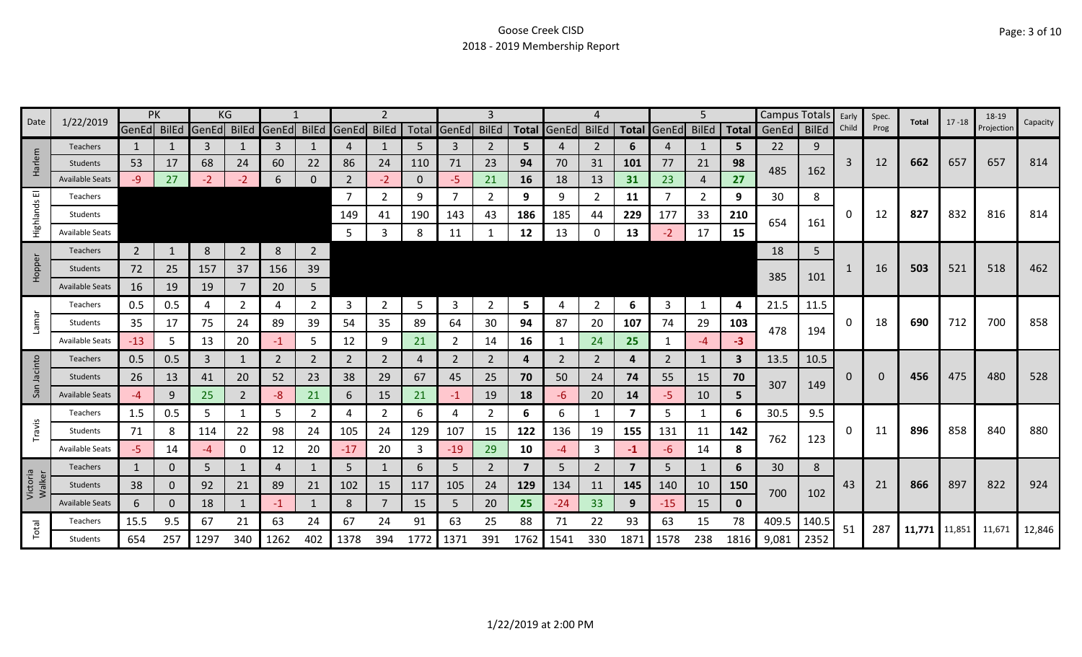| Date                  | 1/22/2019              |                | PK           |       | KG             |             |                |              | 2              |      |                | 3              |                         |                |                |                |       | 5              |              | <b>Campus Totals</b> |              | Early | Spec. | Total         | $17 - 18$ | 18-19      | Capacity |
|-----------------------|------------------------|----------------|--------------|-------|----------------|-------------|----------------|--------------|----------------|------|----------------|----------------|-------------------------|----------------|----------------|----------------|-------|----------------|--------------|----------------------|--------------|-------|-------|---------------|-----------|------------|----------|
|                       |                        | GenEd BilEd    |              | GenEd | BilEd          | GenEd BilEd |                | <b>GenEd</b> | <b>BilEd</b>   |      | Total GenEd    | <b>BilEd</b>   | <b>Total</b>            | GenEd          | <b>BilEd</b>   | <b>Total</b>   | GenEd | <b>BilEd</b>   | <b>Total</b> | GenEd                | <b>BilEd</b> | Child | Prog  |               |           | Projection |          |
|                       | <b>Teachers</b>        | $\mathbf{1}$   |              | 3     |                | 3           |                | 4            |                | 5    | 3              | 2              | 5.                      |                | $\overline{2}$ | 6              | 4     | 1              | 5            | 22                   | 9            |       |       |               |           |            |          |
| Harlem                | <b>Students</b>        | 53             | 17           | 68    | 24             | 60          | 22             | 86           | 24             | 110  | 71             | 23             | 94                      | 70             | 31             | 101            | 77    | 21             | 98           | 485                  | 162          | 3     | 12    | 662           | 657       | 657        | 814      |
|                       | <b>Available Seats</b> | $-9$           | 27           | $-2$  | $-2$           | 6           | 0              |              | $-2$           | 0    | $-5$           | 21             | 16                      | 18             | 13             | 31             | 23    | 4              | 27           |                      |              |       |       |               |           |            |          |
| $\overline{\text{m}}$ | Teachers               |                |              |       |                |             |                | 7            | $\mathbf{2}$   | 9    | $\overline{7}$ | 2              | 9                       | 9              | 2              | 11             | 7     | $\overline{2}$ | 9            | 30                   | 8            |       |       |               |           |            |          |
| Highlands             | Students               |                |              |       |                |             |                | 149          | 41             | 190  | 143            | 43             | 186                     | 185            | 44             | 229            | 177   | 33             | 210          | 654                  | 161          | 0     | 12    | 827           | 832       | 816        | 814      |
|                       | <b>Available Seats</b> |                |              |       |                |             |                | 5            | 3              | 8    | 11             |                | 12                      | 13             | $\Omega$       | 13             |       | 17             | 15           |                      |              |       |       |               |           |            |          |
|                       | Teachers               | $\overline{2}$ | $\mathbf{1}$ | 8     | $\overline{2}$ | 8           | $\overline{2}$ |              |                |      |                |                |                         |                |                |                |       |                |              | 18                   | 5            |       |       |               |           |            |          |
| Hopper                | <b>Students</b>        | 72             | 25           | 157   | 37             | 156         | 39             |              |                |      |                |                |                         |                |                |                |       |                |              |                      |              |       | 16    | 503           | 521       | 518        | 462      |
|                       | <b>Available Seats</b> | 16             | 19           | 19    |                | 20          | 5              |              |                |      |                |                |                         |                |                |                |       |                |              | 385                  | 101          |       |       |               |           |            |          |
|                       | Teachers               | 0.5            | 0.5          | 4     | 2              | 4           | $\overline{2}$ | 3            | $\overline{2}$ | 5    | $\overline{3}$ | 2              | 5                       |                | $\overline{2}$ | 6              | 3     | $\mathbf{1}$   | 4            | 21.5                 | 11.5         |       |       |               |           |            |          |
| Lamar                 | Students               | 35             | 17           | 75    | 24             | 89          | 39             | 54           | 35             | 89   | 64             | 30             | 94                      | 87             | 20             | 107            | 74    | 29             | 103          |                      |              | 0     | 18    | 690           | 712       | 700        | 858      |
|                       | <b>Available Seats</b> | $-13$          | 5            | 13    | 20             | -1          | 5              | 12           | 9              | 21   | 2              | 14             | 16                      |                | 24             | 25             |       | $-4$           | $-3$         | 478                  | 194          |       |       |               |           |            |          |
|                       | <b>Teachers</b>        | 0.5            | 0.5          | 3     | 1              | 2           | $\overline{2}$ | 2            | $\overline{2}$ | 4    | 2              | 2              | 4                       | $\overline{2}$ | 2              | 4              | 2     | $\mathbf{1}$   | 3            | 13.5                 | 10.5         |       |       |               |           |            |          |
| Jacinto               | <b>Students</b>        | 26             | 13           | 41    | 20             | 52          | 23             | 38           | 29             | 67   | 45             | 25             | 70                      | 50             | 24             | 74             | 55    | 15             | 70           |                      |              | 0     | 0     | 456           | 475       | 480        | 528      |
| San                   | <b>Available Seats</b> | -4             | 9            | 25    | $\overline{2}$ | -8          | 21             | 6            | 15             | 21   | $-1$           | 19             | 18                      | -6             | 20             | 14             | -5    | 10             | 5            | 307                  | 149          |       |       |               |           |            |          |
|                       | Teachers               | 1.5            | 0.5          | 5     |                | 5           | $\overline{2}$ | 4            | $\overline{2}$ | 6    | 4              | 2              | 6                       | 6              | -1             | 7              | 5     | 1              | 6            | 30.5                 | 9.5          |       |       |               |           |            |          |
| Travis                | Students               | 71             | 8            | 114   | 22             | 98          | 24             | 105          | 24             | 129  | 107            | 15             | 122                     | 136            | 19             | 155            | 131   | 11             | 142          |                      |              | 0     | 11    | 896           | 858       | 840        | 880      |
|                       | <b>Available Seats</b> | $-5$           | 14           | $-4$  | 0              | 12          | 20             | $-17$        | 20             | 3    | $-19$          | 29             | 10                      | -4             | 3              | $-1$           | -6    | 14             | 8            | 762                  | 123          |       |       |               |           |            |          |
|                       | Teachers               | $\mathbf{1}$   | 0            | 5     |                | 4           |                | 5            |                | 6    | 5              | $\overline{2}$ | $\overline{\mathbf{z}}$ | 5              | 2              | $\overline{7}$ | 5     | $\mathbf{1}$   | 6            | 30                   | 8            |       |       |               |           |            |          |
| Victoria<br>Walker    | Students               | 38             | 0            | 92    | 21             | 89          | 21             | 102          | 15             | 117  | 105            | 24             | 129                     | 134            | 11             | 145            | 140   | 10             | 150          |                      |              | 43    | 21    | 866           | 897       | 822        | 924      |
|                       | <b>Available Seats</b> | 6              | 0            | 18    | $\mathbf{1}$   | $-1$        | $\mathbf{1}$   | 8            | $\overline{7}$ | 15   | 5              | 20             | 25                      | $-24$          | 33             | 9              | $-15$ | 15             | $\mathbf 0$  | 700                  | 102          |       |       |               |           |            |          |
|                       | Teachers               | 15.5           | 9.5          | 67    | 21             | 63          | 24             | 67           | 24             | 91   | 63             | 25             | 88                      | 71             | 22             | 93             | 63    | 15             | 78           | 409.5                | 140.5        |       |       |               |           |            |          |
| Total                 | Students               | 654            | 257          | 1297  | 340            | 1262        | 402            | 1378         | 394            | 1772 | 1371           | 391            | 1762                    | 1541           | 330            | 1871           | 1578  | 238            | 1816         | 9,081                | 2352         | 51    | 287   | 11,771 11,851 |           | 11,671     | 12,846   |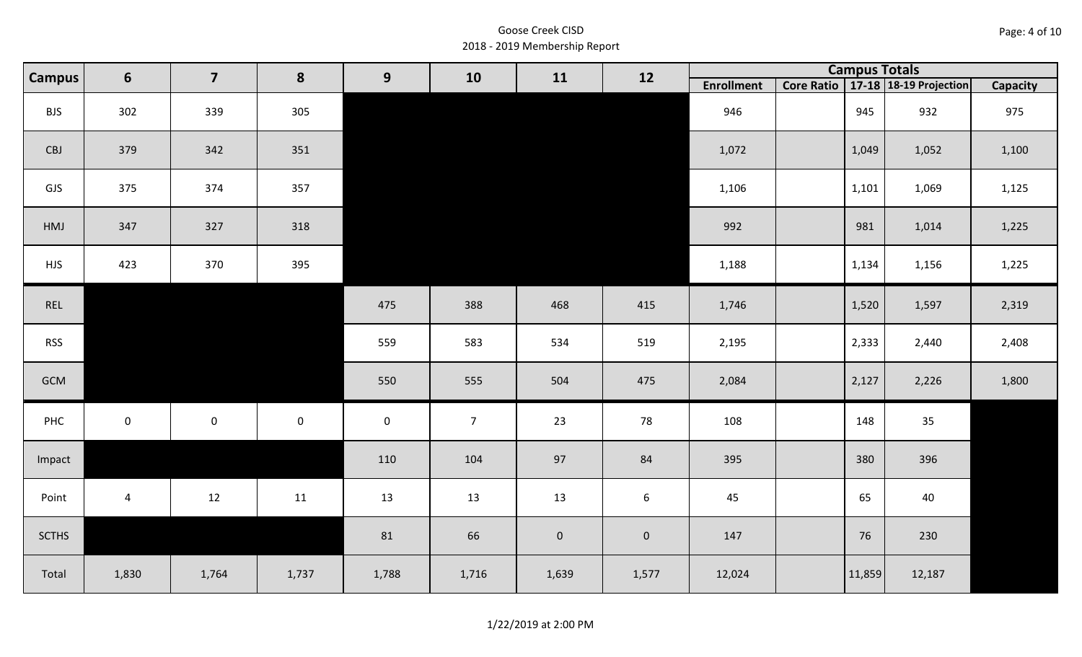| Page: 4 of 10 |  |  |  |
|---------------|--|--|--|
|---------------|--|--|--|

|              | 6<br><b>Campus</b> | $\overline{\mathbf{z}}$ | 8           | 9                   | 10             | 11          | 12             |                   | <b>Campus Totals</b> |                                       |          |
|--------------|--------------------|-------------------------|-------------|---------------------|----------------|-------------|----------------|-------------------|----------------------|---------------------------------------|----------|
|              |                    |                         |             |                     |                |             |                | <b>Enrollment</b> |                      | Core Ratio   17-18   18-19 Projection | Capacity |
| <b>BJS</b>   | 302                | 339                     | 305         |                     |                |             |                | 946               | 945                  | 932                                   | 975      |
| CBJ          | 379                | 342                     | 351         |                     |                |             |                | 1,072             | 1,049                | 1,052                                 | 1,100    |
| GJS          | 375                | 374                     | 357         |                     |                |             |                | 1,106             | 1,101                | 1,069                                 | 1,125    |
| HMJ          | 347                | 327                     | 318         |                     |                |             |                | 992               | 981                  | 1,014                                 | 1,225    |
| <b>HJS</b>   | 423                | 370                     | 395         |                     |                |             |                | 1,188             | 1,134                | 1,156                                 | 1,225    |
| REL          |                    |                         |             | 475                 | 388            | 468         | 415            | 1,746             | 1,520                | 1,597                                 | 2,319    |
| <b>RSS</b>   |                    |                         |             | 559                 | 583            | 534         | 519            | 2,195             | 2,333                | 2,440                                 | 2,408    |
| GCM          |                    |                         |             | 550                 | 555            | 504         | 475            | 2,084             | 2,127                | 2,226                                 | 1,800    |
| PHC          | $\mathbf 0$        | $\mathsf{O}\xspace$     | $\mathbf 0$ | $\mathsf{O}\xspace$ | $\overline{7}$ | 23          | 78             | 108               | 148                  | 35                                    |          |
| Impact       |                    |                         |             | 110                 | 104            | 97          | 84             | 395               | 380                  | 396                                   |          |
| Point        | $\overline{a}$     | 12                      | 11          | 13                  | 13             | 13          | 6              | 45                | 65                   | 40                                    |          |
| <b>SCTHS</b> |                    |                         |             | 81                  | 66             | $\mathbf 0$ | $\overline{0}$ | 147               | 76                   | 230                                   |          |
| Total        | 1,830              | 1,764                   | 1,737       | 1,788               | 1,716          | 1,639       | 1,577          | 12,024            | 11,859               | 12,187                                |          |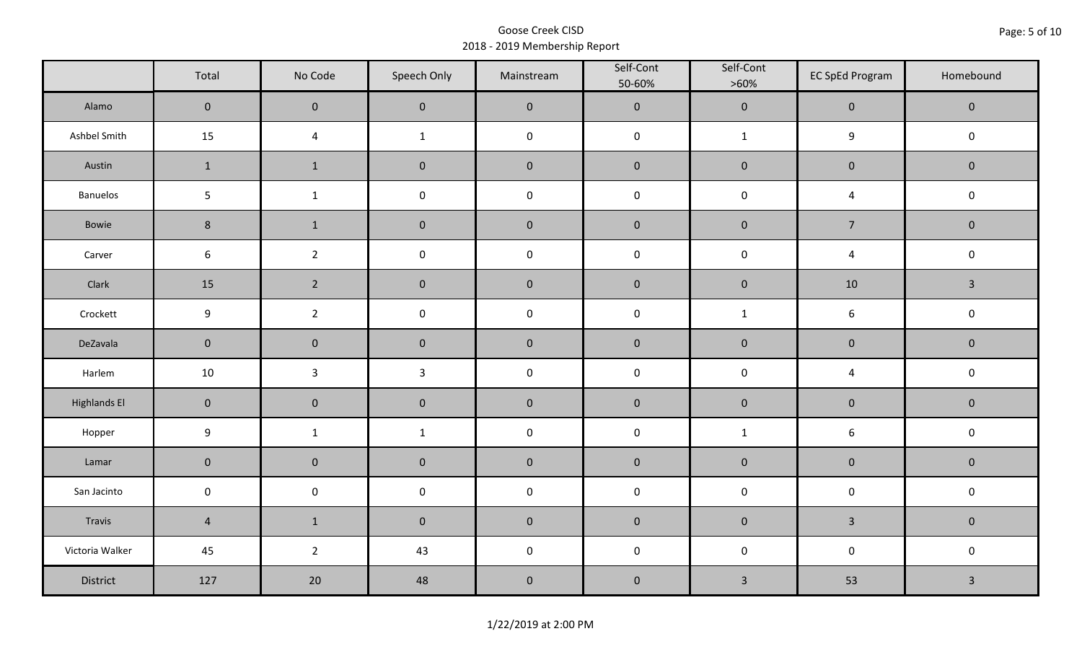|                     | Total               | No Code        | Speech Only  | Mainstream  | Self-Cont<br>50-60% | Self-Cont<br>$>60\%$    | <b>EC SpEd Program</b> | Homebound    |
|---------------------|---------------------|----------------|--------------|-------------|---------------------|-------------------------|------------------------|--------------|
| Alamo               | $\mathsf{O}\xspace$ | $\mathbf 0$    | $\pmb{0}$    | $\mathbf 0$ | $\mathbf 0$         | $\mathbf 0$             | $\mathbf 0$            | $\mathbf 0$  |
| Ashbel Smith        | 15                  | $\overline{4}$ | $\mathbf{1}$ | $\mathbf 0$ | $\mathbf 0$         | $\mathbf{1}$            | $\boldsymbol{9}$       | $\mathbf 0$  |
| Austin              | $\mathbf{1}$        | $\mathbf{1}$   | $\pmb{0}$    | $\pmb{0}$   | $\mathbf 0$         | $\mathbf 0$             | $\mathbf 0$            | $\mathbf 0$  |
| Banuelos            | $\overline{5}$      | $\mathbf{1}$   | $\pmb{0}$    | $\mathbf 0$ | $\mathsf 0$         | $\pmb{0}$               | $\overline{4}$         | $\mathbf 0$  |
| Bowie               | $\,8\,$             | $\mathbf{1}$   | $\pmb{0}$    | $\mathbf 0$ | $\mathbf 0$         | $\mathbf 0$             | $\overline{7}$         | $\mathbf 0$  |
| Carver              | $\boldsymbol{6}$    | $2^{\circ}$    | $\pmb{0}$    | $\mathbf 0$ | $\mathbf 0$         | $\mathbf 0$             | $\overline{4}$         | $\mathsf 0$  |
| Clark               | 15                  | $\overline{2}$ | $\pmb{0}$    | $\mathbf 0$ | $\mathbf{0}$        | $\mathbf 0$             | 10                     | $\mathbf{3}$ |
| Crockett            | 9                   | $\overline{2}$ | $\pmb{0}$    | $\mathsf 0$ | $\mathbf 0$         | $\mathbf{1}$            | $\boldsymbol{6}$       | $\mathbf 0$  |
| DeZavala            | $\mathbf 0$         | $\pmb{0}$      | $\pmb{0}$    | $\pmb{0}$   | $\pmb{0}$           | $\mathbf 0$             | $\mathbf 0$            | $\mathbf 0$  |
| Harlem              | 10                  | $\mathbf{3}$   | $\mathbf{3}$ | $\pmb{0}$   | $\pmb{0}$           | $\pmb{0}$               | $\overline{4}$         | $\mathbf 0$  |
| <b>Highlands El</b> | $\overline{0}$      | $\pmb{0}$      | $\pmb{0}$    | $\pmb{0}$   | $\mathbf 0$         | $\mathbf 0$             | $\mathbf 0$            | $\mathbf 0$  |
| Hopper              | $\boldsymbol{9}$    | $\mathbf{1}$   | $\mathbf{1}$ | $\mathbf 0$ | $\mathbf 0$         | $\mathbf{1}$            | $\boldsymbol{6}$       | $\mathsf 0$  |
| Lamar               | $\pmb{0}$           | $\pmb{0}$      | $\pmb{0}$    | $\pmb{0}$   | $\mathbf 0$         | $\pmb{0}$               | $\mathbf 0$            | $\mathbf 0$  |
| San Jacinto         | $\mathsf 0$         | $\pmb{0}$      | $\pmb{0}$    | $\mathbf 0$ | $\mathbf 0$         | $\mathbf 0$             | $\mathsf 0$            | $\mathsf 0$  |
| Travis              | $\overline{4}$      | $\mathbf{1}$   | $\pmb{0}$    | $\pmb{0}$   | $\pmb{0}$           | $\mathbf 0$             | $\mathbf{3}$           | $\mathbf 0$  |
| Victoria Walker     | 45                  | $\overline{2}$ | 43           | $\mathbf 0$ | $\pmb{0}$           | $\pmb{0}$               | $\mathbf 0$            | $\mathbf 0$  |
| District            | 127                 | 20             | 48           | $\pmb{0}$   | $\pmb{0}$           | $\overline{\mathbf{3}}$ | 53                     | $\mathbf{3}$ |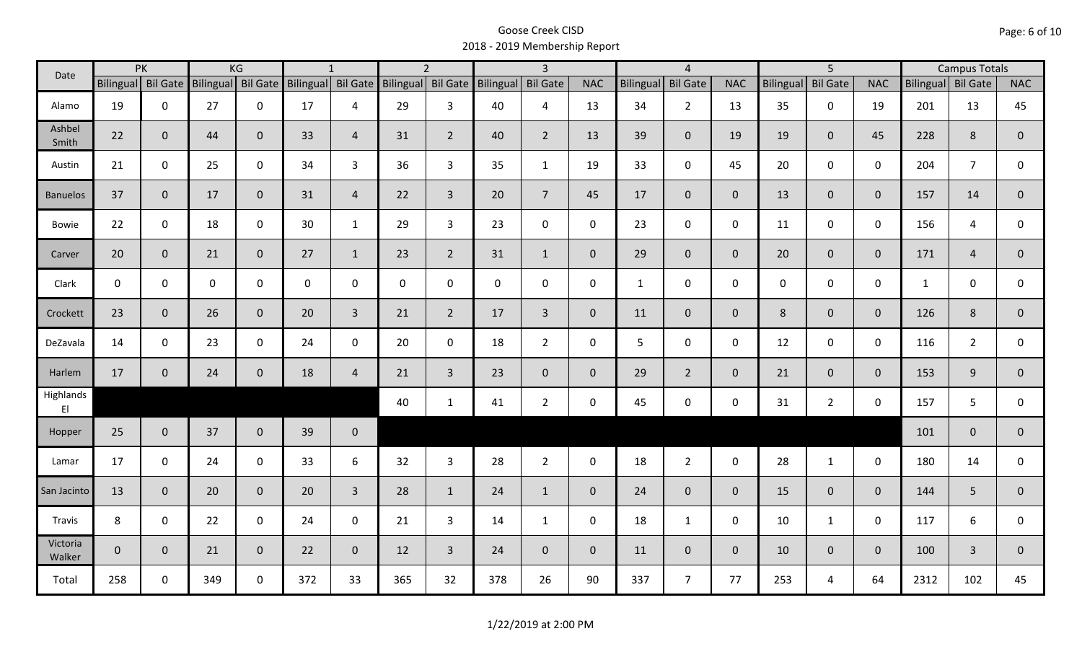| Date               |                    | PK           |                    | KG             |                    | $\mathbf{1}$   |                    | $\overline{2}$ |           | $\overline{3}$ |                |                  | $\overline{4}$  |                |                  | $\overline{5}$  |                |                    | <b>Campus Totals</b> |                |
|--------------------|--------------------|--------------|--------------------|----------------|--------------------|----------------|--------------------|----------------|-----------|----------------|----------------|------------------|-----------------|----------------|------------------|-----------------|----------------|--------------------|----------------------|----------------|
|                    | Bilingual Bil Gate |              | Bilingual Bil Gate |                | Bilingual Bil Gate |                | Bilingual Bil Gate |                | Bilingual | Bil Gate       | <b>NAC</b>     | <b>Bilingual</b> | <b>Bil Gate</b> | <b>NAC</b>     | <b>Bilingual</b> | <b>Bil Gate</b> | <b>NAC</b>     | Bilingual Bil Gate |                      | <b>NAC</b>     |
| Alamo              | 19                 | $\mathbf 0$  | 27                 | $\mathbf 0$    | 17                 | 4              | 29                 | $\overline{3}$ | 40        | 4              | 13             | 34               | $\overline{2}$  | 13             | 35               | $\mathbf{0}$    | 19             | 201                | 13                   | 45             |
| Ashbel<br>Smith    | 22                 | $\mathbf 0$  | 44                 | $\mathbf{0}$   | 33                 | $\overline{4}$ | 31                 | $\overline{2}$ | 40        | $\overline{2}$ | 13             | 39               | $\overline{0}$  | 19             | 19               | $\overline{0}$  | 45             | 228                | 8                    | $\mathbf{0}$   |
| Austin             | 21                 | $\mathbf 0$  | 25                 | $\mathbf 0$    | 34                 | $\overline{3}$ | 36                 | $\mathbf{3}$   | 35        | $\mathbf{1}$   | 19             | 33               | $\mathbf 0$     | 45             | 20               | $\mathbf 0$     | $\mathbf 0$    | 204                | $\overline{7}$       | 0              |
| <b>Banuelos</b>    | 37                 | $\mathbf{0}$ | 17                 | $\mathbf 0$    | 31                 | $\overline{4}$ | 22                 | $\overline{3}$ | 20        | $\overline{7}$ | 45             | 17               | $\overline{0}$  | $\overline{0}$ | 13               | $\overline{0}$  | $\overline{0}$ | 157                | 14                   | $\mathbf{0}$   |
| <b>Bowie</b>       | 22                 | $\mathbf 0$  | 18                 | $\mathbf 0$    | 30                 | $\mathbf{1}$   | 29                 | $\mathbf{3}$   | 23        | $\mathbf 0$    | $\mathsf{O}$   | 23               | $\mathbf 0$     | $\mathsf{O}$   | 11               | $\mathbf 0$     | $\mathbf 0$    | 156                | 4                    | 0              |
| Carver             | 20                 | $\mathbf 0$  | 21                 | $\mathbf 0$    | 27                 | $\mathbf{1}$   | 23                 | $\overline{2}$ | 31        | $\mathbf{1}$   | $\mathbf{0}$   | 29               | $\overline{0}$  | $\overline{0}$ | 20               | $\mathbf{0}$    | $\overline{0}$ | 171                | $\overline{4}$       | $\overline{0}$ |
| Clark              | $\mathbf 0$        | $\mathbf 0$  | $\mathbf 0$        | $\mathbf 0$    | $\mathsf{O}$       | $\mathbf 0$    | $\mathbf 0$        | $\mathbf 0$    | 0         | $\mathbf 0$    | $\mathbf 0$    | $\mathbf{1}$     | $\mathsf 0$     | $\mathsf{O}$   | $\mathbf 0$      | $\mathbf{0}$    | $\mathbf 0$    | $\mathbf{1}$       | $\mathbf 0$          | $\mathbf 0$    |
| Crockett           | 23                 | $\mathbf 0$  | 26                 | $\mathbf{0}$   | 20                 | $\overline{3}$ | 21                 | $\overline{2}$ | 17        | $\overline{3}$ | $\mathbf 0$    | 11               | $\mathbf{0}$    | $\overline{0}$ | 8                | $\overline{0}$  | $\overline{0}$ | 126                | 8                    | $\mathbf{0}$   |
| DeZavala           | 14                 | $\mathbf 0$  | 23                 | $\mathbf 0$    | 24                 | $\mathbf 0$    | 20                 | $\mathbf 0$    | 18        | $2^{\circ}$    | $\mathbf 0$    | 5                | $\mathbf 0$     | $\mathsf{O}$   | 12               | $\Omega$        | $\mathbf 0$    | 116                | $\overline{2}$       | $\mathbf 0$    |
| Harlem             | 17                 | $\mathbf 0$  | 24                 | $\mathbf 0$    | 18                 | $\overline{4}$ | 21                 | $\overline{3}$ | 23        | $\mathbf{0}$   | $\mathbf{0}$   | 29               | $2^{\circ}$     | $\overline{0}$ | 21               | $\mathbf{0}$    | $\overline{0}$ | 153                | 9                    | $\overline{0}$ |
| Highlands<br>E1    |                    |              |                    |                |                    |                | 40                 | $\mathbf{1}$   | 41        | $\overline{2}$ | 0              | 45               | $\mathbf 0$     | $\mathsf{O}$   | 31               | $\overline{2}$  | $\mathbf 0$    | 157                | 5                    | $\mathbf 0$    |
| Hopper             | 25                 | $\mathbf 0$  | 37                 | $\overline{0}$ | 39                 | $\mathbf 0$    |                    |                |           |                |                |                  |                 |                |                  |                 |                | 101                | $\overline{0}$       | $\mathbf{0}$   |
| Lamar              | 17                 | $\mathbf 0$  | 24                 | $\mathbf 0$    | 33                 | 6              | 32                 | $\mathbf{3}$   | 28        | $2^{\circ}$    | $\mathsf{O}$   | 18               | $2^{\circ}$     | $\mathbf 0$    | 28               | $\mathbf{1}$    | $\mathbf 0$    | 180                | 14                   | $\mathbf 0$    |
| San Jacinto        | 13                 | $\mathbf 0$  | 20                 | $\mathbf 0$    | 20                 | $\overline{3}$ | 28                 | $\mathbf{1}$   | 24        | $\mathbf{1}$   | $\overline{0}$ | 24               | $\overline{0}$  | $\overline{0}$ | 15               | $\mathbf{0}$    | $\overline{0}$ | 144                | 5                    | $\mathbf 0$    |
| Travis             | 8                  | $\mathbf 0$  | 22                 | $\mathbf 0$    | 24                 | $\mathbf 0$    | 21                 | $\mathbf{3}$   | 14        | $\mathbf{1}$   | $\mathbf 0$    | 18               | $\mathbf{1}$    | $\mathbf 0$    | 10               | $\mathbf{1}$    | $\mathbf 0$    | 117                | 6                    | 0              |
| Victoria<br>Walker | $\mathbf 0$        | $\mathbf 0$  | 21                 | $\overline{0}$ | 22                 | $\mathbf 0$    | 12                 | $\overline{3}$ | 24        | $\overline{0}$ | $\mathbf 0$    | 11               | $\mathbf{0}$    | $\overline{0}$ | 10               | $\mathbf{0}$    | $\overline{0}$ | 100                | $\overline{3}$       | $\mathbf 0$    |
| Total              | 258                | 0            | 349                | $\mathbf 0$    | 372                | 33             | 365                | 32             | 378       | 26             | 90             | 337              | $\overline{7}$  | 77             | 253              | 4               | 64             | 2312               | 102                  | 45             |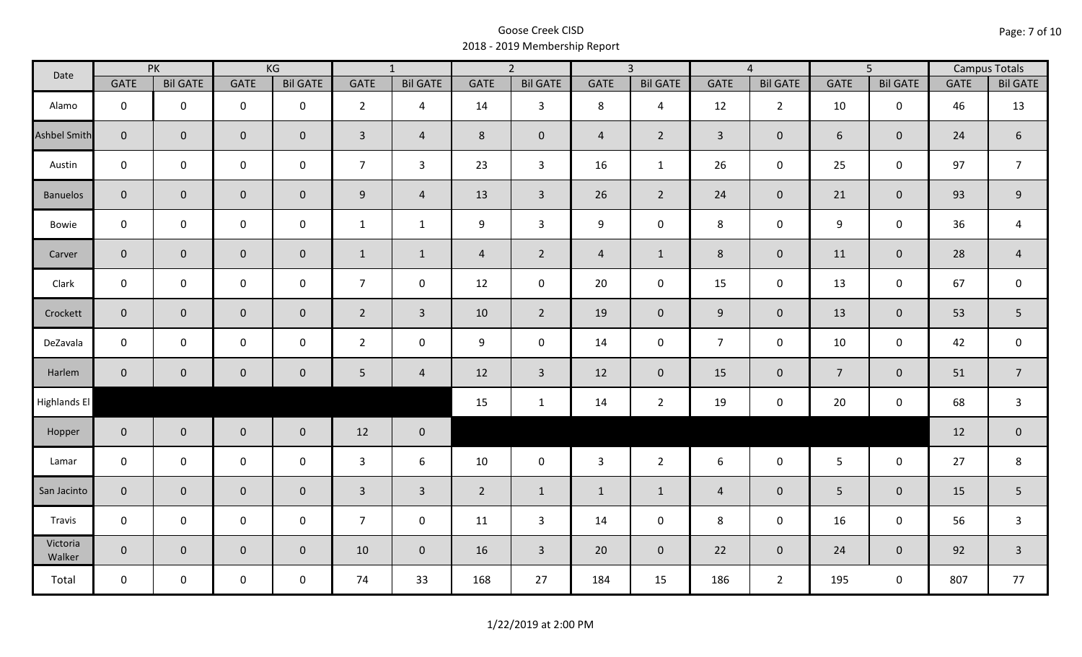| Date                |                | PK              |                     | KG              |                 | $\overline{1}$  |                | $\overline{2}$  |                | $\overline{3}$  |                | $\overline{4}$  |                  | $\overline{5}$      |             | <b>Campus Totals</b> |
|---------------------|----------------|-----------------|---------------------|-----------------|-----------------|-----------------|----------------|-----------------|----------------|-----------------|----------------|-----------------|------------------|---------------------|-------------|----------------------|
|                     | <b>GATE</b>    | <b>Bil GATE</b> | <b>GATE</b>         | <b>Bil GATE</b> | <b>GATE</b>     | <b>Bil GATE</b> | <b>GATE</b>    | <b>Bil GATE</b> | <b>GATE</b>    | <b>Bil GATE</b> | <b>GATE</b>    | <b>Bil GATE</b> | <b>GATE</b>      | <b>Bil GATE</b>     | <b>GATE</b> | <b>Bil GATE</b>      |
| Alamo               | $\mathbf{0}$   | $\mathbf 0$     | $\mathbf 0$         | $\mathbf 0$     | $2^{\circ}$     | $\overline{4}$  | 14             | $\mathbf{3}$    | 8              | $\overline{4}$  | 12             | $\overline{2}$  | 10               | $\mathbf 0$         | 46          | 13                   |
| <b>Ashbel Smith</b> | $\mathbf{0}$   | $\overline{0}$  | $\mathbf 0$         | $\mathbf{0}$    | $\mathbf{3}$    | $\overline{4}$  | 8              | $\mathbf{0}$    | $\overline{4}$ | $\overline{2}$  | $\overline{3}$ | $\mathbf 0$     | 6                | $\mathbf{0}$        | 24          | $\boldsymbol{6}$     |
| Austin              | $\mathbf 0$    | $\mathbf 0$     | $\mathbf 0$         | $\mathbf 0$     | $\overline{7}$  | $\mathbf{3}$    | 23             | $\mathbf{3}$    | 16             | $\mathbf{1}$    | 26             | 0               | 25               | $\mathsf{O}\xspace$ | 97          | $\overline{7}$       |
| <b>Banuelos</b>     | $\overline{0}$ | $\mathbf 0$     | $\mathsf{O}\xspace$ | $\overline{0}$  | 9 <sub>o</sub>  | $\overline{4}$  | 13             | $\overline{3}$  | 26             | $2^{\circ}$     | 24             | $\mathbf 0$     | 21               | $\overline{0}$      | 93          | 9                    |
| Bowie               | $\mathbf 0$    | $\mathbf 0$     | $\mathsf{O}\xspace$ | $\mathbf 0$     | $\mathbf{1}$    | $\mathbf{1}$    | 9              | $\overline{3}$  | 9              | $\mathbf 0$     | $\,8\,$        | 0               | $\boldsymbol{9}$ | $\mathbf 0$         | 36          | $\overline{a}$       |
| Carver              | $\overline{0}$ | $\mathbf 0$     | $\mathsf{O}\xspace$ | $\overline{0}$  | $\mathbf{1}$    | $\mathbf{1}$    | $\overline{4}$ | $\overline{2}$  | $\overline{4}$ | $\mathbf{1}$    | 8              | $\mathbf 0$     | 11               | $\mathbf{0}$        | 28          | $\overline{4}$       |
| Clark               | $\mathbf 0$    | $\mathbf 0$     | $\mathsf 0$         | 0               | $\overline{7}$  | $\mathbf 0$     | 12             | $\mathbf 0$     | 20             | $\mathbf 0$     | 15             | $\mathbf 0$     | 13               | $\mathbf 0$         | 67          | $\mathbf 0$          |
| Crockett            | $\overline{0}$ | $\mathbf 0$     | $\mathbf 0$         | $\overline{0}$  | $2^{\circ}$     | $\overline{3}$  | 10             | $\overline{2}$  | 19             | $\overline{0}$  | 9              | $\mathbf{0}$    | 13               | $\mathbf 0$         | 53          | 5                    |
| DeZavala            | $\mathbf 0$    | $\mathbf 0$     | $\mathbf 0$         | $\mathbf 0$     | $2^{\circ}$     | $\mathbf 0$     | 9              | $\mathbf 0$     | 14             | $\mathbf 0$     | $\overline{7}$ | $\mathbf 0$     | 10               | $\mathbf 0$         | 42          | $\boldsymbol{0}$     |
| Harlem              | $\overline{0}$ | $\overline{0}$  | $\mathbf 0$         | $\mathbf{0}$    | $5\phantom{.0}$ | $\overline{4}$  | 12             | $\overline{3}$  | 12             | $\overline{0}$  | 15             | $\mathbf{0}$    | $\overline{7}$   | $\pmb{0}$           | 51          | $\overline{7}$       |
| Highlands El        |                |                 |                     |                 |                 |                 | 15             | $\mathbf{1}$    | 14             | $\overline{2}$  | 19             | 0               | 20               | $\mathbf 0$         | 68          | 3                    |
| Hopper              | $\overline{0}$ | $\overline{0}$  | $\mathbf 0$         | $\overline{0}$  | 12              | $\mathbf 0$     |                |                 |                |                 |                |                 |                  |                     | 12          | $\pmb{0}$            |
| Lamar               | $\mathbf 0$    | $\mathbf 0$     | $\mathbf 0$         | $\mathbf 0$     | 3               | 6               | 10             | $\mathbf 0$     | $\mathbf{3}$   | $\overline{2}$  | 6              | $\mathbf 0$     | $5\overline{)}$  | $\mathbf 0$         | 27          | 8                    |
| San Jacinto         | $\mathbf 0$    | $\overline{0}$  | $\mathbf 0$         | $\mathbf 0$     | $\overline{3}$  | $\overline{3}$  | $\overline{2}$ | $\mathbf{1}$    | $\mathbf{1}$   | $\mathbf{1}$    | $\overline{4}$ | $\mathbf{0}$    | 5                | $\mathbf 0$         | 15          | 5                    |
| Travis              | $\mathbf 0$    | $\mathbf 0$     | $\mathsf{O}\xspace$ | $\mathbf 0$     | 7 <sup>7</sup>  | $\mathbf 0$     | 11             | $\mathbf{3}$    | 14             | $\mathbf 0$     | 8              | 0               | 16               | $\mathbf 0$         | 56          | $\mathsf{3}$         |
| Victoria<br>Walker  | $\overline{0}$ | $\mathbf 0$     | $\mathbf 0$         | $\mathbf{0}$    | 10              | $\overline{0}$  | 16             | $\overline{3}$  | 20             | $\overline{0}$  | 22             | $\overline{0}$  | 24               | $\overline{0}$      | 92          | $\overline{3}$       |
| Total               | $\mathbf 0$    | $\mathbf 0$     | $\mathbf 0$         | $\mathbf 0$     | 74              | 33              | 168            | 27              | 184            | 15              | 186            | $2^{\circ}$     | 195              | $\mathbf 0$         | 807         | 77                   |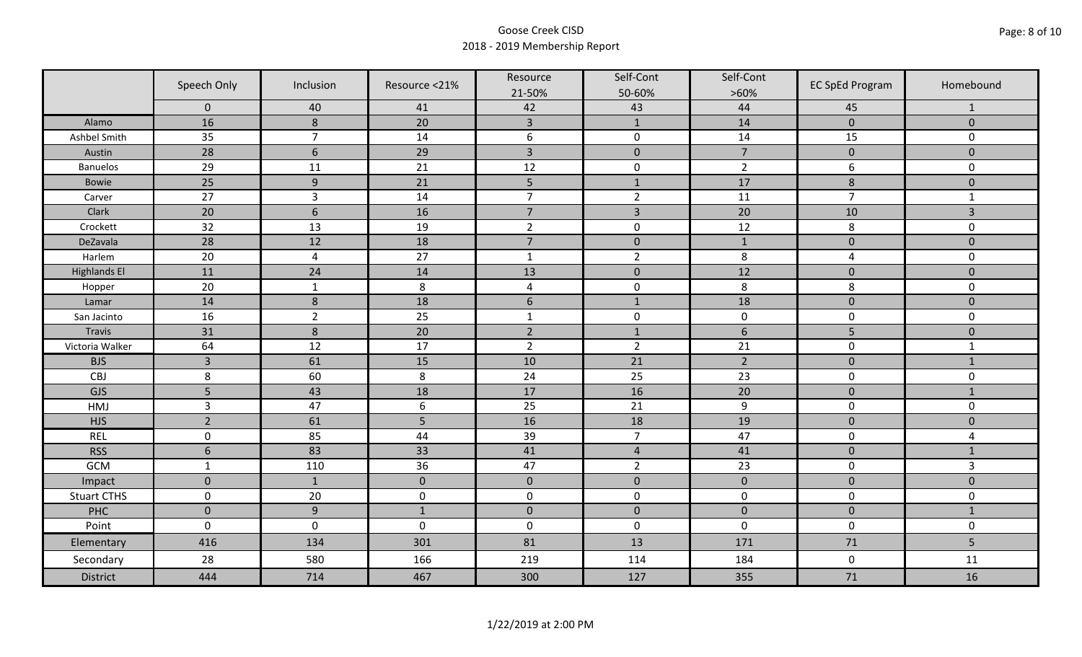|                     | Speech Only     | Inclusion        | Resource <21% | Resource<br>21-50% | Self-Cont<br>50-60% | Self-Cont<br>$>60\%$ | <b>EC SpEd Program</b>  | Homebound      |
|---------------------|-----------------|------------------|---------------|--------------------|---------------------|----------------------|-------------------------|----------------|
|                     | $\mathbf 0$     | 40               | 41            | 42                 | 43                  | 44                   | 45                      | $\mathbf{1}$   |
| Alamo               | 16              | 8                | 20            | $\overline{3}$     | $\mathbf{1}$        | 14                   | $\pmb{0}$               | $\mathbf 0$    |
| Ashbel Smith        | 35              | $\overline{7}$   | 14            | $\boldsymbol{6}$   | $\pmb{0}$           | 14                   | 15                      | 0              |
| Austin              | 28              | $6\phantom{1}6$  | 29            | $\overline{3}$     | $\pmb{0}$           | $\overline{7}$       | $\pmb{0}$               | $\overline{0}$ |
| <b>Banuelos</b>     | 29              | 11               | 21            | 12                 | $\pmb{0}$           | $\overline{2}$       | 6                       | $\mathbf 0$    |
| <b>Bowie</b>        | 25              | $\boldsymbol{9}$ | 21            | 5                  | $1\,$               | 17                   | $\bf 8$                 | $\pmb{0}$      |
| Carver              | 27              | $\overline{3}$   | 14            | $\overline{7}$     | $\overline{2}$      | 11                   | $\overline{7}$          | $\mathbf{1}$   |
| Clark               | 20              | $6\phantom{1}6$  | 16            | $\overline{7}$     | $\overline{3}$      | 20                   | 10                      | 3              |
| Crockett            | 32              | 13               | 19            | $\overline{2}$     | $\pmb{0}$           | 12                   | 8                       | 0              |
| DeZavala            | 28              | 12               | 18            | $\overline{7}$     | $\pmb{0}$           | $\mathbf{1}$         | $\pmb{0}$               | $\overline{0}$ |
| Harlem              | 20              | $\overline{4}$   | 27            | $\mathbf 1$        | $\overline{2}$      | 8                    | $\overline{\mathbf{4}}$ | 0              |
| <b>Highlands El</b> | 11              | 24               | 14            | 13                 | $\pmb{0}$           | 12                   | $\pmb{0}$               | $\overline{0}$ |
| Hopper              | 20              | $\mathbf{1}$     | $\,8\,$       | $\pmb{4}$          | $\pmb{0}$           | 8                    | 8                       | 0              |
| Lamar               | 14              | $\boldsymbol{8}$ | 18            | $6\,$              | $1\,$               | 18                   | $\pmb{0}$               | $\mathbf 0$    |
| San Jacinto         | 16              | $\overline{2}$   | 25            | $\mathbf{1}$       | $\pmb{0}$           | $\pmb{0}$            | $\pmb{0}$               | 0              |
| Travis              | 31              | $\,8\,$          | 20            | $\overline{2}$     | $1\,$               | $\sqrt{6}$           | 5                       | $\mathbf 0$    |
| Victoria Walker     | 64              | 12               | 17            | $\overline{2}$     | $\overline{2}$      | 21                   | $\pmb{0}$               | $\mathbf{1}$   |
| <b>BJS</b>          | $\overline{3}$  | 61               | 15            | 10                 | 21                  | $\overline{2}$       | $\mathbf 0$             | $\mathbf{1}$   |
| CBJ                 | $\,8\,$         | 60               | 8             | 24                 | 25                  | 23                   | $\pmb{0}$               | 0              |
| GJS                 | 5               | 43               | 18            | 17                 | 16                  | 20                   | $\mathbf 0$             | $\mathbf{1}$   |
| HMJ                 | $\overline{3}$  | 47               | 6             | 25                 | 21                  | 9                    | $\pmb{0}$               | 0              |
| <b>HJS</b>          | $\overline{2}$  | 61               | 5             | 16                 | 18                  | 19                   | $\pmb{0}$               | $\mathbf 0$    |
| <b>REL</b>          | $\mathbf 0$     | 85               | 44            | 39                 | $\overline{7}$      | 47                   | $\pmb{0}$               | 4              |
| <b>RSS</b>          | $6\phantom{1}6$ | 83               | 33            | 41                 | $\overline{4}$      | 41                   | $\pmb{0}$               | $\mathbf{1}$   |
| GCM                 | $\mathbf{1}$    | 110              | 36            | 47                 | $\overline{2}$      | 23                   | $\pmb{0}$               | $\overline{3}$ |
| Impact              | $\mathbf{0}$    | $\mathbf{1}$     | $\mathbf{0}$  | $\mathbf 0$        | $\mathbf 0$         | $\pmb{0}$            | $\mathbf 0$             | $\overline{0}$ |
| <b>Stuart CTHS</b>  | $\mathsf 0$     | 20               | $\pmb{0}$     | $\pmb{0}$          | $\pmb{0}$           | $\pmb{0}$            | $\pmb{0}$               | 0              |
| PHC                 | $\mathbf 0$     | $9$              | $1\,$         | $\pmb{0}$          | $\pmb{0}$           | $\pmb{0}$            | $\pmb{0}$               | $1\,$          |
| Point               | $\mathbf 0$     | $\mathbf 0$      | $\mathbf 0$   | $\boldsymbol{0}$   | $\pmb{0}$           | $\mathbf 0$          | $\mathbf 0$             | $\mathbf 0$    |
| Elementary          | 416             | 134              | 301           | 81                 | 13                  | 171                  | 71                      | 5              |
| Secondary           | 28              | 580              | 166           | 219                | 114                 | 184                  | $\mathbf 0$             | 11             |
| <b>District</b>     | 444             | 714              | 467           | 300                | 127                 | 355                  | 71                      | 16             |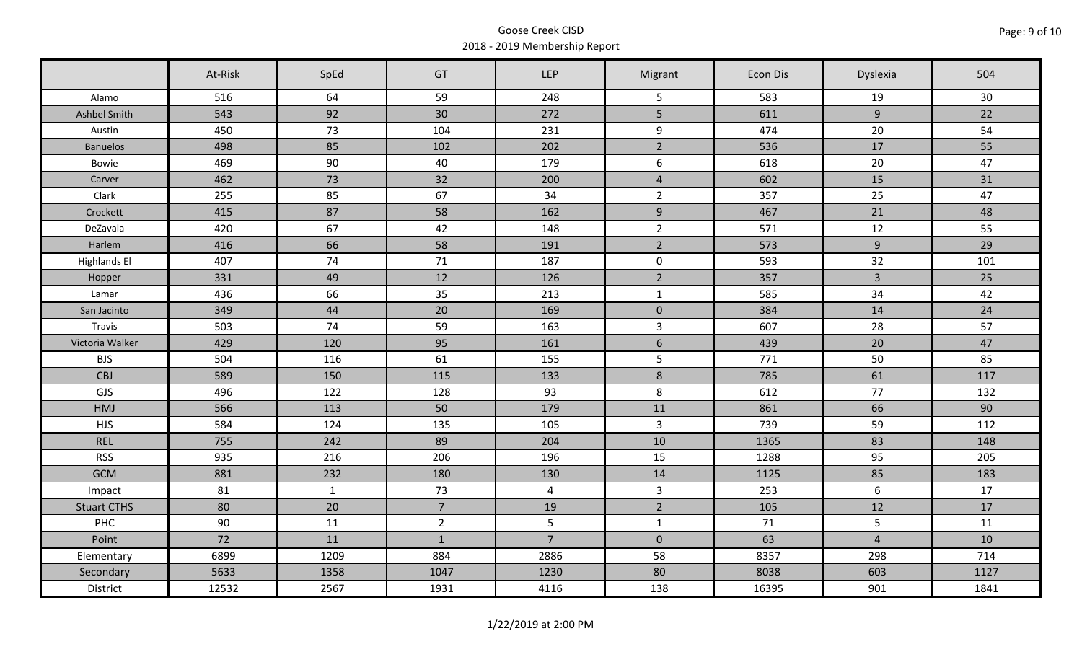|                     | At-Risk | SpEd         | GT             | LEP             | Migrant         | Econ Dis | Dyslexia       | 504  |
|---------------------|---------|--------------|----------------|-----------------|-----------------|----------|----------------|------|
| Alamo               | 516     | 64           | 59             | 248             | 5               | 583      | 19             | 30   |
| Ashbel Smith        | 543     | 92           | 30             | 272             | 5               | 611      | 9              | 22   |
| Austin              | 450     | 73           | 104            | 231             | 9               | 474      | 20             | 54   |
| <b>Banuelos</b>     | 498     | 85           | 102            | 202             | $\overline{2}$  | 536      | 17             | 55   |
| Bowie               | 469     | 90           | 40             | 179             | 6               | 618      | 20             | 47   |
| Carver              | 462     | 73           | 32             | 200             | $\overline{4}$  | 602      | 15             | 31   |
| Clark               | 255     | 85           | 67             | 34              | $2^{\circ}$     | 357      | 25             | 47   |
| Crockett            | 415     | 87           | 58             | 162             | 9               | 467      | 21             | 48   |
| DeZavala            | 420     | 67           | 42             | 148             | $\overline{2}$  | 571      | 12             | 55   |
| Harlem              | 416     | 66           | 58             | 191             | $2^{\circ}$     | 573      | 9              | 29   |
| <b>Highlands El</b> | 407     | 74           | 71             | 187             | $\mathbf 0$     | 593      | 32             | 101  |
| Hopper              | 331     | 49           | 12             | 126             | $\overline{2}$  | 357      | $\overline{3}$ | 25   |
| Lamar               | 436     | 66           | 35             | 213             | $\mathbf{1}$    | 585      | 34             | 42   |
| San Jacinto         | 349     | 44           | 20             | 169             | $\mathbf 0$     | 384      | 14             | 24   |
| Travis              | 503     | 74           | 59             | 163             | $\mathbf{3}$    | 607      | 28             | 57   |
| Victoria Walker     | 429     | 120          | 95             | 161             | $6\overline{6}$ | 439      | 20             | 47   |
| <b>BJS</b>          | 504     | 116          | 61             | 155             | $5\phantom{.}$  | 771      | 50             | 85   |
| CBJ                 | 589     | 150          | 115            | 133             | $8\phantom{1}$  | 785      | 61             | 117  |
| GJS                 | 496     | 122          | 128            | 93              | 8               | 612      | 77             | 132  |
| HMJ                 | 566     | 113          | 50             | 179             | 11              | 861      | 66             | 90   |
| <b>HJS</b>          | 584     | 124          | 135            | 105             | $\overline{3}$  | 739      | 59             | 112  |
| <b>REL</b>          | 755     | 242          | 89             | 204             | 10              | 1365     | 83             | 148  |
| <b>RSS</b>          | 935     | 216          | 206            | 196             | 15              | 1288     | 95             | 205  |
| <b>GCM</b>          | 881     | 232          | 180            | 130             | 14              | 1125     | 85             | 183  |
| Impact              | 81      | $\mathbf{1}$ | 73             | $\overline{4}$  | $\overline{3}$  | 253      | 6              | 17   |
| <b>Stuart CTHS</b>  | 80      | 20           | $\overline{7}$ | 19              | $\overline{2}$  | 105      | 12             | 17   |
| PHC                 | 90      | 11           | $2^{\circ}$    | $5\phantom{.0}$ | $\mathbf{1}$    | 71       | 5              | 11   |
| Point               | 72      | 11           | $\mathbf{1}$   | $\overline{7}$  | $\mathbf 0$     | 63       | $\overline{4}$ | 10   |
| Elementary          | 6899    | 1209         | 884            | 2886            | 58              | 8357     | 298            | 714  |
| Secondary           | 5633    | 1358         | 1047           | 1230            | 80              | 8038     | 603            | 1127 |
| District            | 12532   | 2567         | 1931           | 4116            | 138             | 16395    | 901            | 1841 |